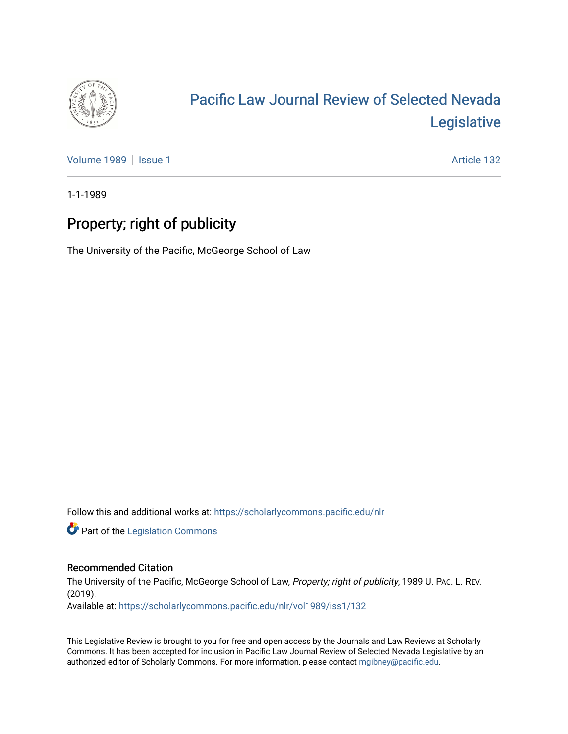

## [Pacific Law Journal Review of Selected Nevada](https://scholarlycommons.pacific.edu/nlr)  [Legislative](https://scholarlycommons.pacific.edu/nlr)

[Volume 1989](https://scholarlycommons.pacific.edu/nlr/vol1989) | [Issue 1](https://scholarlycommons.pacific.edu/nlr/vol1989/iss1) Article 132

1-1-1989

## Property; right of publicity

The University of the Pacific, McGeorge School of Law

Follow this and additional works at: [https://scholarlycommons.pacific.edu/nlr](https://scholarlycommons.pacific.edu/nlr?utm_source=scholarlycommons.pacific.edu%2Fnlr%2Fvol1989%2Fiss1%2F132&utm_medium=PDF&utm_campaign=PDFCoverPages) 

**Part of the [Legislation Commons](http://network.bepress.com/hgg/discipline/859?utm_source=scholarlycommons.pacific.edu%2Fnlr%2Fvol1989%2Fiss1%2F132&utm_medium=PDF&utm_campaign=PDFCoverPages)** 

## Recommended Citation

The University of the Pacific, McGeorge School of Law, Property; right of publicity, 1989 U. PAc. L. REV. (2019). Available at: [https://scholarlycommons.pacific.edu/nlr/vol1989/iss1/132](https://scholarlycommons.pacific.edu/nlr/vol1989/iss1/132?utm_source=scholarlycommons.pacific.edu%2Fnlr%2Fvol1989%2Fiss1%2F132&utm_medium=PDF&utm_campaign=PDFCoverPages) 

This Legislative Review is brought to you for free and open access by the Journals and Law Reviews at Scholarly Commons. It has been accepted for inclusion in Pacific Law Journal Review of Selected Nevada Legislative by an authorized editor of Scholarly Commons. For more information, please contact [mgibney@pacific.edu](mailto:mgibney@pacific.edu).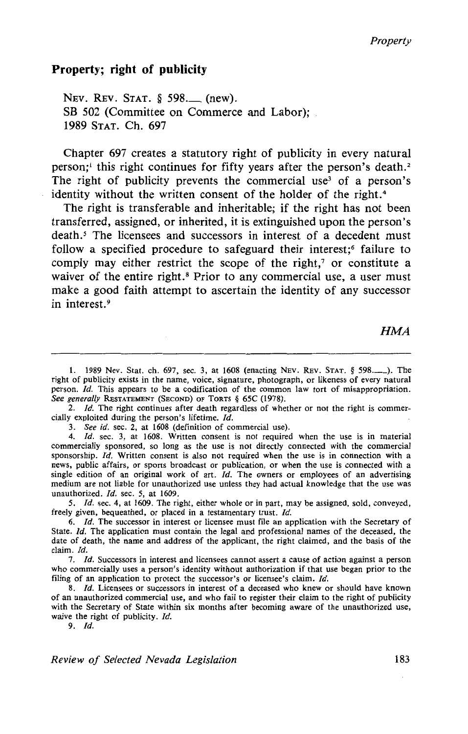## **Property; right of publicity**

NEV. REV. STAT. § 598. (new). SB 502 (Committee on Commerce and Labor); 1989 STAT. Ch. 697

Chapter 697 creates a statutory right of publicity in every natural person;<sup>1</sup> this right continues for fifty years after the person's death.<sup>2</sup> The right of publicity prevents the commercial use<sup>3</sup> of a person's identity without the written consent of the holder of the right.<sup>4</sup>

The right is transferable and inheritable; if the right has not been transferred, assigned, or inherited, it is extinguished upon the person's death.<sup>5</sup> The licensees and successors in interest of a decedent must follow a specified procedure to safeguard their interest;<sup>6</sup> failure to comply may either restrict the scope of the right, $\gamma$  or constitute a waiver of the entire right.<sup>8</sup> Prior to any commercial use, a user must make a good faith attempt to ascertain the identity of any successor in interest.<sup>9</sup>

HMA

2. *Id.* The right continues after death regardless of whether or not the right is commercially exploited during the person's lifetime.  $Id$ .

3. *See id.* sec. 2, at 1608 (definition of commercial use).

4. */d.* sec. 3, at 1608. Written consent is not required when the use is in material commercially sponsored, so long as the use is not directly connected with the commercial sponsorship.  $Id$ . Written consent is also not required when the use is in connection with a news, public affairs, or sports broadcast or publication, or when the use is connected with a single edition of an original work of art.  $Id$ . The owners or employees of an advertising medium are not liable for unauthorized use unless they had actual knowledge that the use was unauthorized. Id. sec. 5, at 1609.

*5. /d.* sec. 4, at 1609. The right, either whole or in part, may be assigned, sold, conveyed, freely given, bequeathed, or placed in a testamentary trust. */d.* 

6. /d. The successor in interest or licensee must file an application with the Secretary of State. */d.* The application must contain the legal and professional names of the deceased, the date of death, the name and address of the applicant, the right claimed, and the basis of the claim. Id.

7. *Id.* Successors in interest and licensees cannot assert a cause of action against a person who commercially uses a person's identity without authorization if that use began prior to the filing of an application to protect the successor's or licensee's claim. *Id.* 

8. *Id.* Licensees or successors in interest of a deceased who knew or should have known of an unauthorized commercial use, and who fail to register their claim to the right of publicity with the Secretary of State within six months after becoming aware of the unauthorized use, waive the right of publicity. Id.

9. */d.* 

*Review of Selected Nevada Legislation* 183

<sup>1. 1989</sup> Nev. Stat. ch. 697, sec. 3, at 1608 (enacting NEV. REV. STAT. § 598...........). The right of publicity exists in the name, voice, signature, photograph, or likeness of every natural person. */d.* This appears to be a codification of the common law tort of misappropriation. *See generally* RESTATEMENT (SECOND) OF TORTS § 65C (1978).